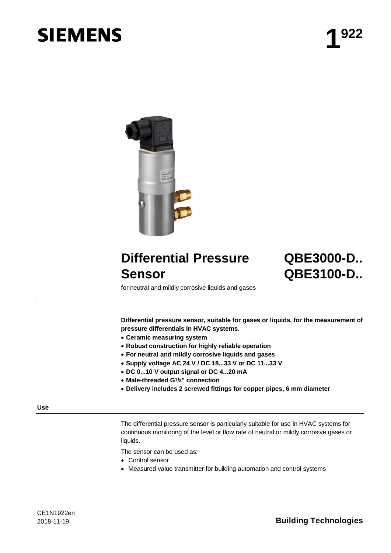# **SIEMENS**



# **Differential Pressure Sensor**

# **QBE3000-D.. QBE3100-D..**

for neutral and mildly corrosive liquids and gases

**Differential pressure sensor, suitable for gases or liquids, for the measurement of pressure differentials in HVAC systems**.

- · **Ceramic measuring system**
- · **Robust construction for highly reliable operation**
- · **For neutral and mildly corrosive liquids and gases**
- · **Supply voltage AC 24 V / DC 18...33 V or DC 11...33 V**
- · **DC 0...10 V output signal or DC 4...20 mA**
- · **Male-threaded G1/8" connection**
- · **Delivery includes 2 screwed fittings for copper pipes, 6 mm diameter**

#### **Use**

The differential pressure sensor is particularly suitable for use in HVAC systems for continuous monitoring of the level or flow rate of neutral or mildly corrosive gases or liquids.

The sensor can be used as:

- · Control sensor
- · Measured value transmitter for building automation and control systems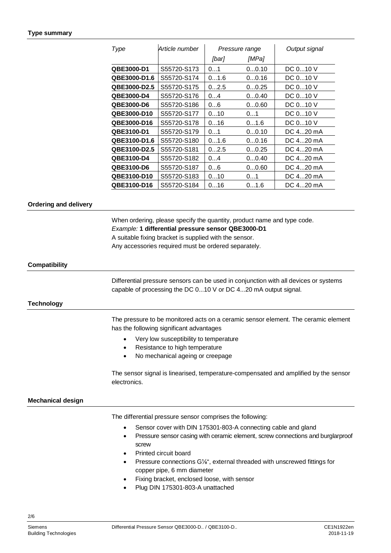#### **Type summary**

| Type                | Article number | Pressure range |       | Output signal |
|---------------------|----------------|----------------|-------|---------------|
|                     |                | [bar]          | [MPa] |               |
| QBE3000-D1          | S55720-S173    | 01             | 00.10 | DC 010 V      |
| <b>QBE3000-D1.6</b> | S55720-S174    | 01.6           | 00.16 | DC 010 V      |
| QBE3000-D2.5        | S55720-S175    | 02.5           | 00.25 | DC 010 V      |
| <b>QBE3000-D4</b>   | S55720-S176    | 04             | 00.40 | DC 010 V      |
| <b>QBE3000-D6</b>   | S55720-S186    | 06             | 00.60 | DC 010 V      |
| <b>QBE3000-D10</b>  | S55720-S177    | 010            | 01    | DC 010 V      |
| <b>QBE3000-D16</b>  | S55720-S178    | 016            | 01.6  | DC 010 V      |
| QBE3100-D1          | S55720-S179    | 01             | 00.10 | DC 420 mA     |
| <b>QBE3100-D1.6</b> | S55720-S180    | 01.6           | 00.16 | DC 420 mA     |
| QBE3100-D2.5        | S55720-S181    | 02.5           | 00.25 | DC 420 mA     |
| <b>QBE3100-D4</b>   | S55720-S182    | 04             | 00.40 | DC 420 mA     |
| <b>QBE3100-D6</b>   | S55720-S187    | 06             | 00.60 | DC 420 mA     |
| QBE3100-D10         | S55720-S183    | 010            | 01    | DC 420 mA     |
| QBE3100-D16         | S55720-S184    | 016            | 01.6  | DC $420$ mA   |

#### **Ordering and delivery**

When ordering, please specify the quantity, product name and type code. *Example:* **1 differential pressure sensor QBE3000-D1** A suitable fixing bracket is supplied with the sensor.

Any accessories required must be ordered separately.

#### **Compatibility**

Differential pressure sensors can be used in conjunction with all devices or systems capable of processing the DC 0...10 V or DC 4...20 mA output signal.

#### **Technology**

The pressure to be monitored acts on a ceramic sensor element. The ceramic element has the following significant advantages

- · Very low susceptibility to temperature
- Resistance to high temperature
- No mechanical ageing or creepage

The sensor signal is linearised, temperature-compensated and amplified by the sensor electronics.

#### **Mechanical design**

The differential pressure sensor comprises the following:

- Sensor cover with DIN 175301-803-A connecting cable and gland
- Pressure sensor casing with ceramic element, screw connections and burglarproof screw
- Printed circuit board
- Pressure connections G<sup>1/2</sup><sup>"</sup>, external threaded with unscrewed fittings for copper pipe, 6 mm diameter
- Fixing bracket, enclosed loose, with sensor
- Plug DIN 175301-803-A unattached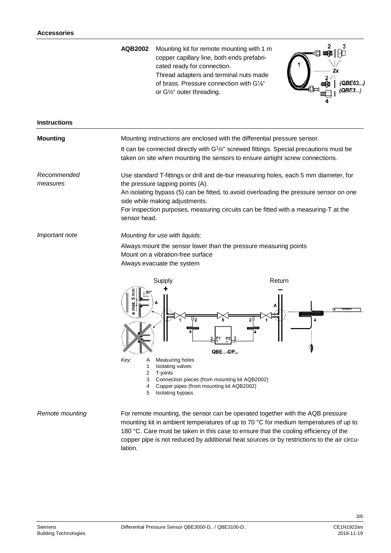**AQB2002** Mounting kit for remote mounting with 1 m copper capillary line, both ends prefabricated ready for connection. Thread adapters and terminal nuts made of brass. Pressure connection with G⅛" or G½" outer threading.



| <b>Mounting</b>         | Mounting instructions are enclosed with the differential pressure sensor.<br>It can be connected directly with $G1/s$ " screwed fittings. Special precautions must be<br>taken on site when mounting the sensors to ensure airtight screw connections.                                                                                                      |                                                                                                                                                                                                                                                                                                                                                              |  |
|-------------------------|-------------------------------------------------------------------------------------------------------------------------------------------------------------------------------------------------------------------------------------------------------------------------------------------------------------------------------------------------------------|--------------------------------------------------------------------------------------------------------------------------------------------------------------------------------------------------------------------------------------------------------------------------------------------------------------------------------------------------------------|--|
| Recommended<br>measures | Use standard T-fittings or drill and de-bur measuring holes, each 5 mm diameter, for<br>the pressure tapping points (A).<br>An isolating bypass (5) can be fitted, to avoid overloading the pressure sensor on one<br>side while making adjustments.<br>For inspection purposes, measuring circuits can be fitted with a measuring-T at the<br>sensor head. |                                                                                                                                                                                                                                                                                                                                                              |  |
| Important note          | Mounting for use with liquids:<br>Always mount the sensor lower than the pressure measuring points<br>Mount on a vibration-free surface<br>Always evacuate the system<br>Supply<br>Ē<br>5<br>max<br>Key:<br>Measuring holes<br>Α<br>1<br><b>Isolating valves</b><br>$\overline{2}$<br>T-joints<br>Connection pieces (from mounting kit AQB2002)<br>3        | Return<br>P <sub>2</sub><br>QBE-DP                                                                                                                                                                                                                                                                                                                           |  |
| Remote mounting         | Copper pipes (from mounting kit AQB2002)<br>4<br>Isolating bypass<br>5                                                                                                                                                                                                                                                                                      | For remote mounting, the sensor can be operated together with the AQB pressure<br>mounting kit in ambient temperatures of up to 70 °C for medium temperatures of up to<br>180 °C. Care must be taken in this case to ensure that the cooling efficiency of the<br>copper pipe is not reduced by additional heat sources or by restrictions to the air circu- |  |

lation.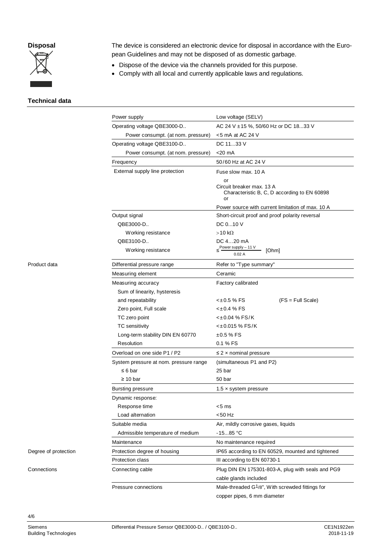## **Disposal**



The device is considered an electronic device for disposal in accordance with the European Guidelines and may not be disposed of as domestic garbage.

- · Dispose of the device via the channels provided for this purpose.
- · Comply with all local and currently applicable laws and regulations.

#### **Technical data**

|                      | Power supply                           | Low voltage (SELV)                                                                    |  |
|----------------------|----------------------------------------|---------------------------------------------------------------------------------------|--|
|                      | Operating voltage QBE3000-D            | AC 24 V ± 15 %, 50/60 Hz or DC 1833 V                                                 |  |
|                      | Power consumpt. (at nom. pressure)     | $<$ 5 mA at AC 24 V                                                                   |  |
|                      | Operating voltage QBE3100-D            | DC 1133 V                                                                             |  |
|                      | Power consumpt. (at nom. pressure)     | $<$ 20 mA                                                                             |  |
|                      | Frequency                              | 50/60 Hz at AC 24 V                                                                   |  |
|                      | External supply line protection        | Fuse slow max. 10 A                                                                   |  |
|                      |                                        | or<br>Circuit breaker max, 13 A<br>Characteristic B, C, D according to EN 60898<br>or |  |
|                      |                                        | Power source with current limitation of max. 10 A                                     |  |
|                      | Output signal                          | Short-circuit proof and proof polarity reversal                                       |  |
|                      | QBE3000-D                              | DC 010 V                                                                              |  |
|                      | Working resistance                     | $>10 k\Omega$                                                                         |  |
|                      | QBE3100-D<br>Working resistance        | DC 420 mA<br>Power supply - 11 V<br>[Ohm]<br>0.02A                                    |  |
| Product data         | Differential pressure range            | Refer to "Type summary"                                                               |  |
|                      | Measuring element                      | Ceramic                                                                               |  |
|                      | Measuring accuracy                     | Factory calibrated                                                                    |  |
|                      | Sum of linearity, hysteresis           |                                                                                       |  |
|                      | and repeatability                      | $< \pm 0.5$ % FS<br>$(FS = Full Scale)$                                               |  |
|                      | Zero point, Full scale                 | <±0.4 % FS                                                                            |  |
|                      | TC zero point                          | $<\pm 0.04$ % FS/K                                                                    |  |
|                      | TC sensitivity                         | <±0.015 % FS/K                                                                        |  |
|                      | Long-term stability DIN EN 60770       | $±0.5%$ FS                                                                            |  |
|                      | Resolution                             | 0.1 % FS                                                                              |  |
|                      | Overload on one side P1 / P2           | $\leq$ 2 x nominal pressure                                                           |  |
|                      | System pressure at nom. pressure range | (simultaneous P1 and P2)                                                              |  |
|                      | $\leq 6$ bar                           | 25 bar                                                                                |  |
|                      | $\geq 10$ bar                          | 50 bar                                                                                |  |
|                      | <b>Bursting pressure</b>               | $1.5 \times$ system pressure                                                          |  |
|                      | Dynamic response:                      |                                                                                       |  |
|                      | Response time                          | <5 ms                                                                                 |  |
|                      | Load alternation                       | <50 Hz                                                                                |  |
|                      | Suitable media                         | Air, mildly corrosive gases, liquids                                                  |  |
|                      | Admissible temperature of medium       | $-1585 °C$                                                                            |  |
|                      | Maintenance                            | No maintenance required                                                               |  |
| Degree of protection | Protection degree of housing           | IP65 according to EN 60529, mounted and tightened                                     |  |
|                      | Protection class                       | III according to EN 60730-1                                                           |  |
| Connections          | Connecting cable                       | Plug DIN EN 175301-803-A, plug with seals and PG9                                     |  |
|                      |                                        | cable glands included                                                                 |  |
|                      | Pressure connections                   | Male-threaded G1/8", With screwded fittings for<br>copper pipes, 6 mm diameter        |  |
|                      |                                        |                                                                                       |  |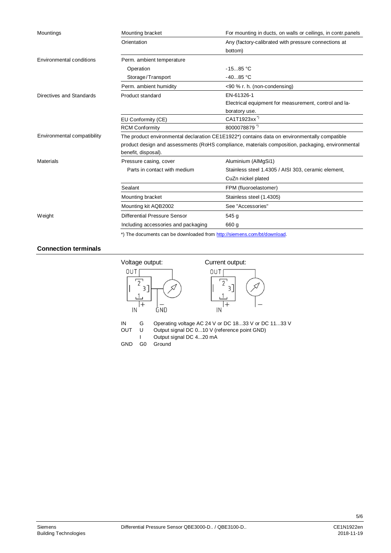| Mountings                       | Mounting bracket                                                                                 | For mounting in ducts, on walls or ceilings, in contr.panels |  |
|---------------------------------|--------------------------------------------------------------------------------------------------|--------------------------------------------------------------|--|
|                                 | Orientation                                                                                      | Any (factory-calibrated with pressure connections at         |  |
|                                 |                                                                                                  | bottom)                                                      |  |
| <b>Environmental conditions</b> | Perm. ambient temperature                                                                        |                                                              |  |
|                                 | Operation                                                                                        | $-1585 °C$                                                   |  |
|                                 | Storage/Transport                                                                                | $-4085 °C$                                                   |  |
|                                 | Perm. ambient humidity                                                                           | <90 % r. h. (non-condensing)                                 |  |
| Directives and Standards        | Product standard                                                                                 | EN-61326-1                                                   |  |
|                                 |                                                                                                  | Electrical equipment for measurement, control and la-        |  |
|                                 |                                                                                                  | boratory use.                                                |  |
|                                 | EU Conformity (CE)                                                                               | CA1T1923xx <sup>"</sup>                                      |  |
|                                 | <b>RCM Conformity</b>                                                                            | 8000078879*)                                                 |  |
| Environmental compatibility     | The product environmental declaration CE1E1922*) contains data on environmentally compatible     |                                                              |  |
|                                 | product design and assessments (RoHS compliance, materials composition, packaging, environmental |                                                              |  |
|                                 | benefit, disposal).                                                                              |                                                              |  |
| Materials                       | Pressure casing, cover                                                                           | Aluminium (AlMgSi1)                                          |  |
|                                 | Parts in contact with medium                                                                     | Stainless steel 1.4305 / AISI 303, ceramic element,          |  |
|                                 |                                                                                                  | CuZn nickel plated                                           |  |
|                                 | Sealant                                                                                          | FPM (fluoroelastomer)                                        |  |
|                                 | Mounting bracket                                                                                 | Stainless steel (1.4305)                                     |  |
|                                 | Mounting kit AQB2002                                                                             | See "Accessories"                                            |  |
| Weight                          | Differential Pressure Sensor                                                                     | 545 g                                                        |  |
|                                 | Including accessories and packaging                                                              | 660 g                                                        |  |
|                                 | *) The documents can be downloaded from http://siemens.com/bt/download.                          |                                                              |  |

### **Connection terminals**



IN G Operating voltage AC 24 V or DC 18...33 V or DC 11...33 V<br>OUT U Output signal DC 0...10 V (reference point GND)

- Output signal DC 0...10 V (reference point GND)
- I Output signal DC 4...20 mA
- GND G0 Ground